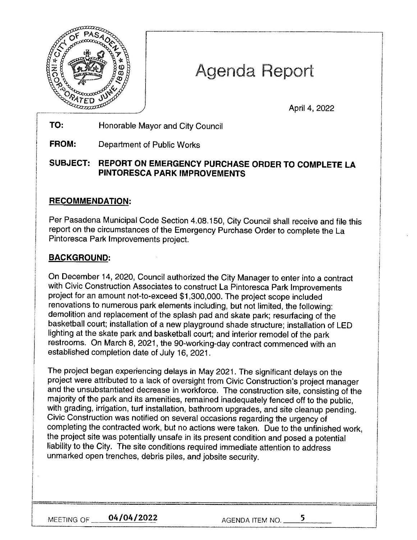

# Agenda Report

April 4, 2022

**TO:**  Honorable Mayor and City Council

**FROM:**  Department of Public Works

#### **SUBJECT: REPORT ON EMERGENCY PURCHASE ORDER TO COMPLETE LA PINTORESCA PARK IMPROVEMENTS**

## **RECOMMENDATION:**

Per Pasadena Municipal Code Section 4.08.150, City Council shall receive and file this report on the circumstances of the Emergency Purchase Order to complete the La Pintoresca Park Improvements project.

## **BACKGROUND:**

On December 14, 2020, Council authorized the City Manager to enter into a contract with Civic Construction Associates to construct La Pintoresca Park Improvements project for an amount not-to-exceed \$1,300,000. The project scope included renovations to numerous park elements including, but not limited, the following: demolition and replacement of the splash pad and skate park; resurfacing of the basketball court; installation of a new playground shade structure; installation of LED lighting at the skate park and basketball court; and interior remodel of the park restrooms. On March 8, 2021, the 90-working-day contract commenced with an established completion date of July 16, 2021.

The project began experiencing delays in May 2021. The significant delays on the project were attributed to a lack of oversight from Civic Construction's project manager and the unsubstantiated decrease in workforce. The construction site, consisting of the majority of the park and its amenities, remained inadequately fenced off to the public, with grading, irrigation, turt installation, bathroom upgrades, and site cleanup pending. Civic Construction was notified on several occasions regarding the urgency of completing the contracted work, but no actions were taken. Due to the unfinished work, the project site was potentially unsafe in its present condition and posed a potential liability to the City. The site conditions required immediate attention to address unmarked open trenches, debris piles, and jobsite security.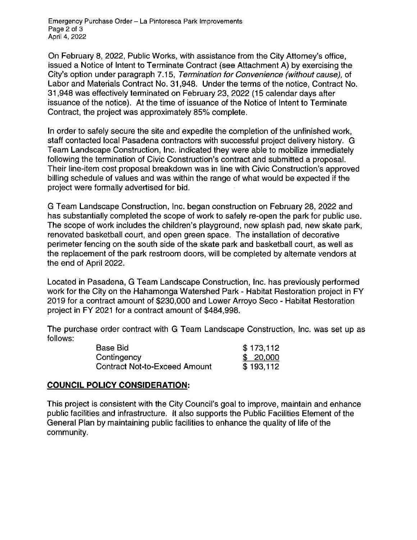Emergency Purchase Order - La Pintoresca Park Improvements Page 2 of 3 April 4, 2022

On February 8, 2022, Public Works, with assistance from the City Attorney's office, issued a Notice of Intent to Terminate Contract (see Attachment A) by exercising the City's option under paragraph 7.15, Termination for Convenience (without cause), of Labor and Materials Contract No. 31,948. Under the terms of the notice, Contract No. 31,948 was effectively terminated on February 23, 2022 (15 calendar days after issuance of the notice). At the time of issuance of the Notice of Intent to Terminate Contract, the project was approximately 85% complete.

In order to safely secure the site and expedite the completion of the unfinished work, staff contacted local Pasadena contractors with successful project delivery history. G Team Landscape Construction, Inc. indicated they were able to mobilize immediately following the termination of Civic Construction's contract and submitted a proposal. Their line-item cost proposal breakdown was in line with Civic Construction's approved billing schedule of values and was within the range of what would be expected if the project were formally advertised for bid.

G Team Landscape Construction, Inc. began construction on February 28, 2022 and has substantially completed the scope of work to safely re-open the park for public use. The scope of work includes the children's playground, new splash pad, new skate park, renovated basketball court, and open green space. The installation of decorative perimeter fencing on the south side of the skate park and basketball court, as well as the replacement of the park restroom doors, will be completed by alternate vendors at the end of April 2022.

Located in Pasadena, G Team Landscape Construction, Inc. has previously performed work for the City on the Hahamonga Watershed Park - Habitat Restoration project in FY 2019 for a contract amount of \$230,000 and Lower Arroyo Seco - Habitat Restoration project in FY 2021 for a contract amount of \$484,998.

The purchase order contract with G Team Landscape Construction, Inc. was set up as follows:

| <b>Base Bid</b>                      | \$173,112 |
|--------------------------------------|-----------|
| Contingency                          | \$20,000  |
| <b>Contract Not-to-Exceed Amount</b> | \$193,112 |

#### **COUNCIL POLICY CONSIDERATION:**

This project is consistent with the City Council's goal to improve, maintain and enhance public facilities and infrastructure. It also supports the Public Facilities Element of the General Plan by maintaining public facilities to enhance the quality of life of the community.